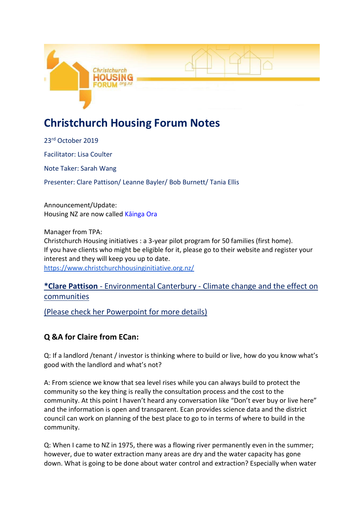

# **Christchurch Housing Forum Notes**

23rd October 2019 Facilitator: Lisa Coulter Note Taker: Sarah Wang Presenter: Clare Pattison/ Leanne Bayler/ Bob Burnett/ Tania Ellis

Announcement/Update: Housing NZ are now called Kāinga Ora

Manager from TPA: Christchurch Housing initiatives : a 3-year pilot program for 50 families (first home). If you have clients who might be eligible for it, please go to their website and register your interest and they will keep you up to date. <https://www.christchurchhousinginitiative.org.nz/>

## **\*Clare Pattison** - Environmental Canterbury - Climate change and the effect on communities

(Please check her Powerpoint for more details)

# **Q &A for Claire from ECan:**

Q: If a landlord /tenant / investor is thinking where to build or live, how do you know what's good with the landlord and what's not?

A: From science we know that sea level rises while you can always build to protect the community so the key thing is really the consultation process and the cost to the community. At this point I haven't heard any conversation like "Don't ever buy or live here" and the information is open and transparent. Ecan provides science data and the district council can work on planning of the best place to go to in terms of where to build in the community.

Q: When I came to NZ in 1975, there was a flowing river permanently even in the summer; however, due to water extraction many areas are dry and the water capacity has gone down. What is going to be done about water control and extraction? Especially when water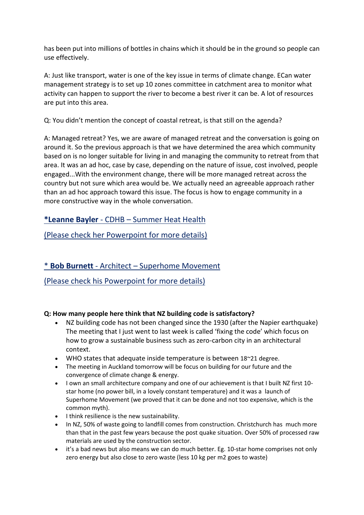has been put into millions of bottles in chains which it should be in the ground so people can use effectively.

A: Just like transport, water is one of the key issue in terms of climate change. ECan water management strategy is to set up 10 zones committee in catchment area to monitor what activity can happen to support the river to become a best river it can be. A lot of resources are put into this area.

Q: You didn't mention the concept of coastal retreat, is that still on the agenda?

A: Managed retreat? Yes, we are aware of managed retreat and the conversation is going on around it. So the previous approach is that we have determined the area which community based on is no longer suitable for living in and managing the community to retreat from that area. It was an ad hoc, case by case, depending on the nature of issue, cost involved, people engaged...With the environment change, there will be more managed retreat across the country but not sure which area would be. We actually need an agreeable approach rather than an ad hoc approach toward this issue. The focus is how to engage community in a more constructive way in the whole conversation.

**\*Leanne Bayler** - CDHB – Summer Heat Health

(Please check her Powerpoint for more details)

# \* **Bob Burnett** - Architect – Superhome Movement

(Please check his Powerpoint for more details)

### **Q: How many people here think that NZ building code is satisfactory?**

- NZ building code has not been changed since the 1930 (after the Napier earthquake) The meeting that I just went to last week is called 'fixing the code' which focus on how to grow a sustainable business such as zero-carbon city in an architectural context.
- WHO states that adequate inside temperature is between 18~21 degree.
- The meeting in Auckland tomorrow will be focus on building for our future and the convergence of climate change & energy.
- I own an small architecture company and one of our achievement is that I built NZ first 10star home (no power bill, in a lovely constant temperature) and it was a launch of Superhome Movement (we proved that it can be done and not too expensive, which is the common myth).
- $\bullet$  I think resilience is the new sustainability.
- In NZ, 50% of waste going to landfill comes from construction. Christchurch has much more than that in the past few years because the post quake situation. Over 50% of processed raw materials are used by the construction sector.
- it's a bad news but also means we can do much better. Eg. 10-star home comprises not only zero energy but also close to zero waste (less 10 kg per m2 goes to waste)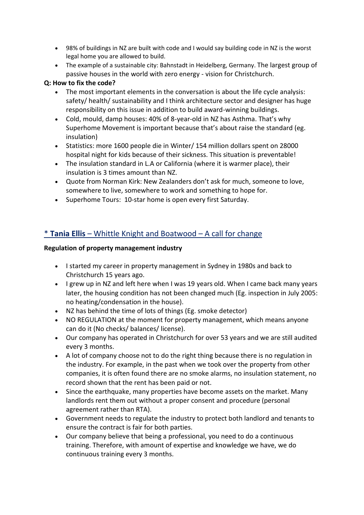- 98% of buildings in NZ are built with code and I would say building code in NZ is the worst legal home you are allowed to build.
- The example of a sustainable city: Bahnstadt in Heidelberg, Germany. The largest group of passive houses in the world with zero energy - vision for Christchurch.

#### **Q: How to fix the code?**

- The most important elements in the conversation is about the life cycle analysis: safety/ health/ sustainability and I think architecture sector and designer has huge responsibility on this issue in addition to build award-winning buildings.
- Cold, mould, damp houses: 40% of 8-year-old in NZ has Asthma. That's why Superhome Movement is important because that's about raise the standard (eg. insulation)
- Statistics: more 1600 people die in Winter/ 154 million dollars spent on 28000 hospital night for kids because of their sickness. This situation is preventable!
- The insulation standard in L.A or California (where it is warmer place), their insulation is 3 times amount than NZ.
- Quote from Norman Kirk: New Zealanders don't ask for much, someone to love, somewhere to live, somewhere to work and something to hope for.
- Superhome Tours: 10-star home is open every first Saturday.

## \* **Tania Ellis** – Whittle Knight and Boatwood – A call for change

#### **Regulation of property management industry**

- I started my career in property management in Sydney in 1980s and back to Christchurch 15 years ago.
- I grew up in NZ and left here when I was 19 years old. When I came back many years later, the housing condition has not been changed much (Eg. inspection in July 2005: no heating/condensation in the house).
- NZ has behind the time of lots of things (Eg. smoke detector)
- NO REGULATION at the moment for property management, which means anyone can do it (No checks/ balances/ license).
- Our company has operated in Christchurch for over 53 years and we are still audited every 3 months.
- A lot of company choose not to do the right thing because there is no regulation in the industry. For example, in the past when we took over the property from other companies, it is often found there are no smoke alarms, no insulation statement, no record shown that the rent has been paid or not.
- Since the earthquake, many properties have become assets on the market. Many landlords rent them out without a proper consent and procedure (personal agreement rather than RTA).
- Government needs to regulate the industry to protect both landlord and tenants to ensure the contract is fair for both parties.
- Our company believe that being a professional, you need to do a continuous training. Therefore, with amount of expertise and knowledge we have, we do continuous training every 3 months.